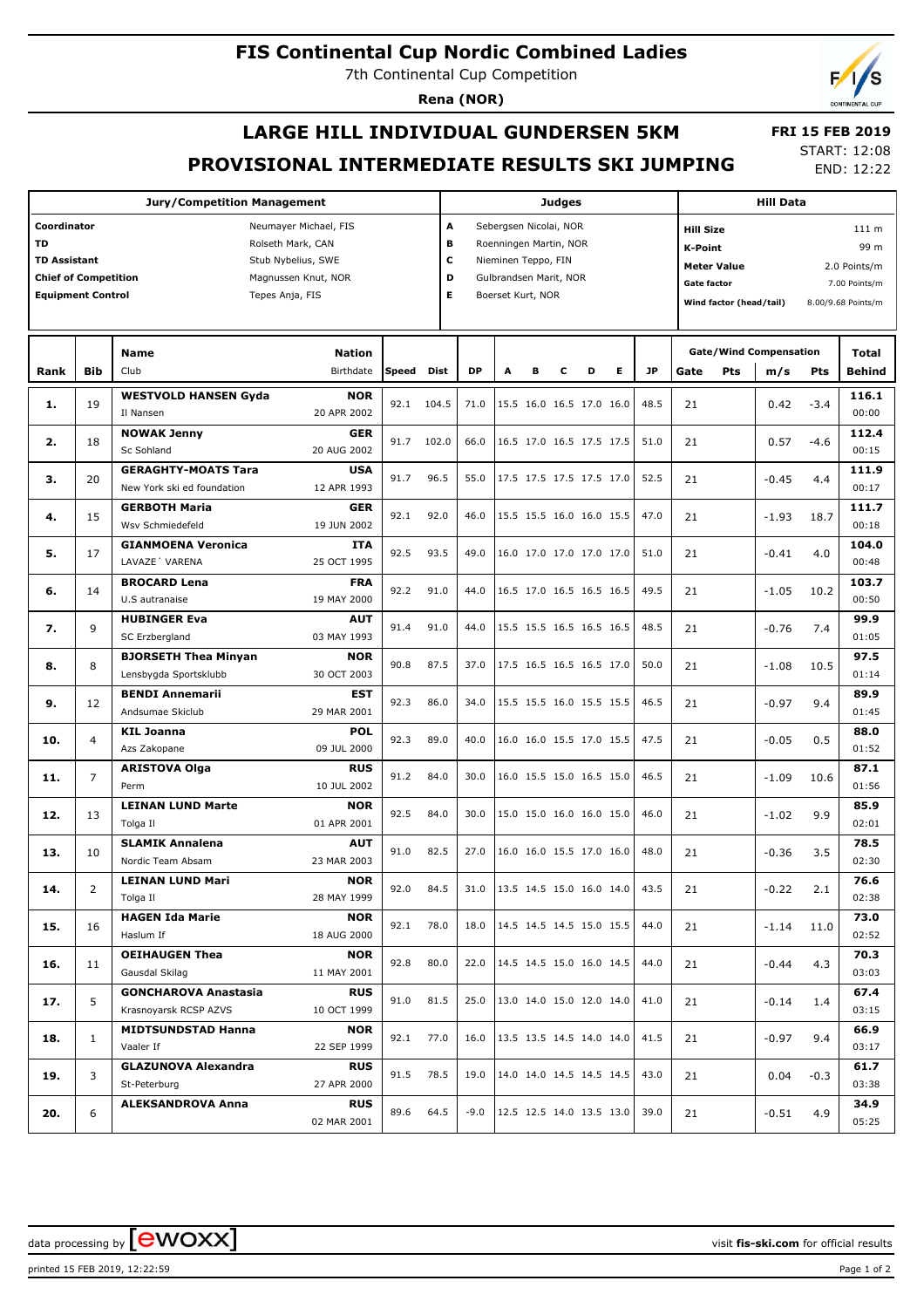# **FIS Continental Cup Nordic Combined Ladies**

7th Continental Cup Competition

**Rena (NOR)**

# **LARGE HILL INDIVIDUAL GUNDERSEN 5KM PROVISIONAL INTERMEDIATE RESULTS SKI JUMPING**

 **FRI 15 FEB 2019** START: 12:08

END: 12:22

|                                           |                                                    | Judges                                      |                           |      |           |                               |                             |                                   |                          | <b>Hill Data</b>                |                          |      |                        |                               |         |                        |                    |
|-------------------------------------------|----------------------------------------------------|---------------------------------------------|---------------------------|------|-----------|-------------------------------|-----------------------------|-----------------------------------|--------------------------|---------------------------------|--------------------------|------|------------------------|-------------------------------|---------|------------------------|--------------------|
| Coordinator<br>Neumayer Michael, FIS      |                                                    |                                             |                           |      |           |                               | A<br>Sebergsen Nicolai, NOR |                                   |                          |                                 |                          |      |                        | 111 m<br><b>Hill Size</b>     |         |                        |                    |
| <b>TD</b><br>Rolseth Mark, CAN            |                                                    |                                             |                           |      |           | в<br>Roenningen Martin, NOR   |                             |                                   |                          |                                 |                          |      | 99 m<br><b>K-Point</b> |                               |         |                        |                    |
| <b>TD Assistant</b><br>Stub Nybelius, SWE |                                                    |                                             |                           |      |           | c<br>Nieminen Teppo, FIN      |                             |                                   |                          |                                 |                          |      |                        | <b>Meter Value</b>            |         |                        | 2.0 Points/m       |
|                                           | <b>Chief of Competition</b><br>Magnussen Knut, NOR |                                             |                           |      |           |                               | Gulbrandsen Marit, NOR      |                                   |                          |                                 |                          |      | <b>Gate factor</b>     |                               |         |                        | 7.00 Points/m      |
| <b>Equipment Control</b>                  |                                                    |                                             | Tepes Anja, FIS           |      | E.        |                               | Boerset Kurt, NOR           |                                   |                          |                                 |                          |      |                        | Wind factor (head/tail)       |         |                        | 8.00/9.68 Points/m |
|                                           |                                                    |                                             |                           |      |           |                               |                             |                                   |                          |                                 |                          |      |                        |                               |         |                        |                    |
|                                           |                                                    |                                             |                           |      |           |                               |                             |                                   |                          |                                 |                          |      |                        |                               |         |                        |                    |
| Rank                                      | <b>Bib</b>                                         | <b>Name</b><br>Club                         | Speed                     | Dist | <b>DP</b> | A                             | в                           | с                                 | D                        | Е                               | <b>JP</b>                | Gate | Pts                    | <b>Gate/Wind Compensation</b> | Pts     | Total<br><b>Behind</b> |                    |
|                                           |                                                    |                                             | Birthdate                 |      |           |                               |                             |                                   |                          |                                 |                          |      |                        |                               | m/s     |                        |                    |
| 1.                                        | 19                                                 | <b>WESTVOLD HANSEN Gyda</b><br>Il Nansen    | <b>NOR</b><br>20 APR 2002 | 92.1 | 104.5     | 71.0                          |                             |                                   |                          | 15.5 16.0 16.5 17.0 16.0        |                          | 48.5 | 21                     |                               | 0.42    | $-3.4$                 | 116.1<br>00:00     |
|                                           |                                                    | <b>NOWAK Jenny</b>                          | <b>GER</b>                |      |           |                               |                             |                                   |                          |                                 |                          |      |                        |                               |         |                        | 112.4              |
| 2.                                        | 18                                                 | Sc Sohland                                  | 20 AUG 2002               | 91.7 | 102.0     | 66.0                          |                             |                                   |                          | 16.5 17.0 16.5 17.5 17.5        |                          | 51.0 | 21                     |                               | 0.57    | $-4.6$                 | 00:15              |
|                                           |                                                    | <b>GERAGHTY-MOATS Tara</b>                  | <b>USA</b>                |      |           |                               |                             |                                   |                          |                                 |                          |      |                        |                               |         |                        | 111.9              |
| з.                                        | 20                                                 | New York ski ed foundation                  | 12 APR 1993               | 91.7 | 96.5      | 55.0                          |                             |                                   |                          | 17.5 17.5 17.5 17.5 17.0        |                          | 52.5 | 21                     |                               | $-0.45$ | 4.4                    | 00:17              |
|                                           |                                                    | <b>GERBOTH Maria</b>                        | <b>GER</b>                |      |           |                               |                             |                                   |                          |                                 |                          |      |                        |                               |         |                        | 111.7              |
| 4.                                        | 15                                                 | Wsv Schmiedefeld                            | 19 JUN 2002               | 92.1 | 92.0      | 46.0                          |                             |                                   |                          | 15.5 15.5 16.0 16.0 15.5        |                          | 47.0 | 21                     |                               | $-1.93$ | 18.7                   | 00:18              |
|                                           |                                                    |                                             |                           |      |           |                               |                             |                                   |                          |                                 |                          |      |                        |                               |         |                        |                    |
| 5.                                        | 17                                                 | <b>GIANMOENA Veronica</b><br>LAVAZE' VARENA | ITA<br>25 OCT 1995        | 92.5 | 93.5      | 49.0                          |                             |                                   |                          | 16.0 17.0 17.0 17.0 17.0        |                          | 51.0 | 21                     |                               | $-0.41$ | 4.0                    | 104.0<br>00:48     |
|                                           |                                                    |                                             |                           |      |           |                               |                             |                                   |                          |                                 |                          |      |                        |                               |         |                        |                    |
| 6.                                        | 14                                                 | <b>BROCARD Lena</b>                         | <b>FRA</b>                | 92.2 | 91.0      | 44.0                          |                             |                                   |                          | 16.5 17.0 16.5 16.5 16.5        |                          | 49.5 | 21                     |                               | $-1.05$ | 10.2                   | 103.7              |
|                                           |                                                    | U.S autranaise                              | 19 MAY 2000               |      |           |                               |                             |                                   |                          |                                 |                          |      |                        |                               |         |                        | 00:50              |
| 7.                                        | 9                                                  | <b>HUBINGER Eva</b>                         | <b>AUT</b>                | 91.4 | 91.0      | 44.0                          |                             |                                   |                          | 15.5 15.5 16.5 16.5 16.5        |                          | 48.5 | 21                     |                               | $-0.76$ | 7.4                    | 99.9               |
|                                           |                                                    | SC Erzbergland                              | 03 MAY 1993               |      |           |                               |                             |                                   |                          |                                 |                          |      |                        |                               |         |                        | 01:05              |
| 8.                                        | 8                                                  | <b>BJORSETH Thea Minyan</b>                 | <b>NOR</b>                | 90.8 | 87.5      | 37.0                          |                             |                                   |                          | 17.5 16.5 16.5 16.5 17.0        |                          | 50.0 | 21                     |                               | $-1.08$ | 10.5                   | 97.5               |
|                                           |                                                    | Lensbygda Sportsklubb                       | 30 OCT 2003               |      |           |                               |                             |                                   |                          |                                 |                          |      |                        |                               |         |                        | 01:14              |
| 9.                                        | 12                                                 | <b>BENDI Annemarii</b>                      | <b>EST</b>                | 92.3 | 86.0      | 34.0                          |                             |                                   |                          | 15.5 15.5 16.0 15.5 15.5        |                          | 46.5 | 21                     |                               | $-0.97$ | 9.4                    | 89.9               |
|                                           |                                                    | Andsumae Skiclub                            | 29 MAR 2001               |      |           |                               |                             |                                   |                          |                                 |                          |      |                        |                               |         |                        | 01:45              |
| 10.                                       | $\overline{4}$                                     | <b>KIL Joanna</b>                           | POL                       | 92.3 | 89.0      | 40.0                          |                             |                                   |                          | 16.0 16.0 15.5 17.0 15.5        |                          | 47.5 | 21                     |                               | $-0.05$ | 0.5                    | 88.0               |
|                                           |                                                    | Azs Zakopane                                | 09 JUL 2000               |      |           |                               |                             |                                   |                          |                                 |                          |      |                        |                               |         |                        | 01:52              |
| 11.                                       | $\overline{7}$                                     | <b>ARISTOVA Olga</b>                        | <b>RUS</b>                | 91.2 | 84.0      | 30.0                          |                             |                                   | 16.0 15.5 15.0 16.5 15.0 |                                 |                          | 46.5 | 21                     |                               | $-1.09$ | 10.6                   | 87.1               |
|                                           |                                                    | Perm                                        | 10 JUL 2002               |      |           |                               |                             |                                   |                          |                                 |                          |      |                        |                               |         |                        | 01:56              |
| 12.                                       | 13                                                 | <b>LEINAN LUND Marte</b>                    | <b>NOR</b>                | 92.5 | 84.0      | 30.0                          |                             |                                   |                          |                                 | 15.0 15.0 16.0 16.0 15.0 | 46.0 | 21                     |                               | $-1.02$ | 9.9                    | 85.9               |
|                                           |                                                    | Tolga Il                                    | 01 APR 2001               |      |           |                               |                             |                                   |                          |                                 |                          |      |                        |                               |         |                        | 02:01              |
| 13.                                       | 10                                                 | <b>SLAMIK Annalena</b>                      | <b>AUT</b>                | 91.0 | 82.5      | 27.0                          |                             |                                   |                          | 16.0 16.0 15.5 17.0 16.0        |                          | 48.0 | 21                     |                               | $-0.36$ | 3.5                    | 78.5               |
|                                           |                                                    | Nordic Team Absam                           | 23 MAR 2003               |      |           |                               |                             |                                   |                          |                                 |                          |      |                        |                               |         |                        | 02:30              |
|                                           | 2                                                  | <b>LEINAN LUND Mari</b>                     | <b>NOR</b>                |      | 92.0 84.5 | 31.0 13.5 14.5 15.0 16.0 14.0 |                             |                                   |                          |                                 |                          | 43.5 | 21                     |                               | $-0.22$ | 2.1                    | 76.6               |
| 14.                                       |                                                    | Tolga Il                                    | 28 MAY 1999               |      |           |                               |                             |                                   |                          |                                 |                          |      |                        |                               |         |                        | 02:38              |
|                                           |                                                    | <b>HAGEN Ida Marie</b>                      | <b>NOR</b>                | 92.1 |           |                               |                             |                                   |                          | 18.0   14.5 14.5 14.5 15.0 15.5 |                          | 44.0 |                        |                               |         |                        | 73.0               |
| 15.                                       | 16                                                 | Haslum If                                   | 18 AUG 2000               |      | 78.0      |                               |                             |                                   |                          |                                 |                          |      | 21                     |                               | $-1.14$ | 11.0                   | 02:52              |
|                                           |                                                    | <b>OEIHAUGEN Thea</b>                       | <b>NOR</b>                |      | 80.0      |                               |                             |                                   |                          |                                 |                          |      |                        |                               |         |                        | 70.3               |
| 16.                                       | 11                                                 | Gausdal Skilag                              | 11 MAY 2001               | 92.8 |           | 22.0                          |                             |                                   |                          |                                 | 14.5 14.5 15.0 16.0 14.5 | 44.0 | 21                     |                               | $-0.44$ | 4.3                    | 03:03              |
|                                           |                                                    | <b>GONCHAROVA Anastasia</b>                 | <b>RUS</b>                |      |           |                               |                             |                                   |                          |                                 |                          |      |                        |                               |         |                        | 67.4               |
| 17.                                       | 5                                                  | Krasnoyarsk RCSP AZVS                       | 10 OCT 1999               | 91.0 | 81.5      | 25.0                          |                             |                                   |                          | 13.0 14.0 15.0 12.0 14.0        |                          | 41.0 | 21                     |                               | $-0.14$ | 1.4                    | 03:15              |
|                                           |                                                    | <b>MIDTSUNDSTAD Hanna</b>                   | <b>NOR</b>                |      |           |                               |                             |                                   |                          |                                 |                          |      |                        |                               |         |                        | 66.9               |
| 18.                                       | $\mathbf{1}$                                       | Vaaler If                                   | 22 SEP 1999               | 92.1 | 77.0      | 16.0                          |                             |                                   |                          | 13.5 13.5 14.5 14.0 14.0        |                          | 41.5 | 21                     |                               | $-0.97$ | 9.4                    | 03:17              |
|                                           |                                                    | <b>GLAZUNOVA Alexandra</b>                  | <b>RUS</b>                |      |           |                               |                             |                                   |                          |                                 |                          |      |                        |                               |         | 61.7                   |                    |
| 19.                                       | 3                                                  | St-Peterburg                                | 27 APR 2000               | 91.5 | 78.5      | 19.0                          |                             |                                   |                          | 14.0 14.0 14.5 14.5 14.5        |                          | 43.0 | 21                     |                               | 0.04    | $-0.3$                 | 03:38              |
|                                           |                                                    | <b>ALEKSANDROVA Anna</b>                    | <b>RUS</b>                |      |           |                               |                             |                                   |                          |                                 |                          |      |                        |                               |         |                        | 34.9               |
| 20.                                       | 6                                                  |                                             | 02 MAR 2001               | 89.6 | 64.5      |                               |                             | $-9.0$   12.5 12.5 14.0 13.5 13.0 |                          |                                 |                          | 39.0 | 21                     |                               | $-0.51$ | 4.9                    | 05:25              |
|                                           |                                                    |                                             |                           |      |           |                               |                             |                                   |                          |                                 |                          |      |                        |                               |         |                        |                    |

data processing by  $\boxed{\text{ewOX}}$